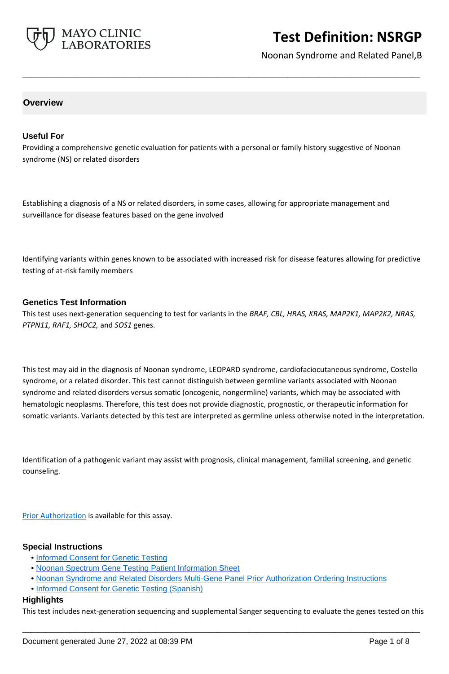

Noonan Syndrome and Related Panel,B

## **Overview**

### **Useful For**

Providing a comprehensive genetic evaluation for patients with a personal or family history suggestive of Noonan syndrome (NS) or related disorders

**\_\_\_\_\_\_\_\_\_\_\_\_\_\_\_\_\_\_\_\_\_\_\_\_\_\_\_\_\_\_\_\_\_\_\_\_\_\_\_\_\_\_\_\_\_\_\_\_\_\_\_**

Establishing a diagnosis of a NS or related disorders, in some cases, allowing for appropriate management and surveillance for disease features based on the gene involved

Identifying variants within genes known to be associated with increased risk for disease features allowing for predictive testing of at-risk family members

#### **Genetics Test Information**

This test uses next-generation sequencing to test for variants in the *BRAF, CBL, HRAS, KRAS, MAP2K1, MAP2K2, NRAS, PTPN11, RAF1, SHOC2,* and *SOS1* genes.

This test may aid in the diagnosis of Noonan syndrome, LEOPARD syndrome, cardiofaciocutaneous syndrome, Costello syndrome, or a related disorder. This test cannot distinguish between germline variants associated with Noonan syndrome and related disorders versus somatic (oncogenic, nongermline) variants, which may be associated with hematologic neoplasms. Therefore, this test does not provide diagnostic, prognostic, or therapeutic information for somatic variants. Variants detected by this test are interpreted as germline unless otherwise noted in the interpretation.

Identification of a pathogenic variant may assist with prognosis, clinical management, familial screening, and genetic counseling.

[Prior Authorization](https://www.mayocliniclabs.com/it-mmfiles/Noonan_Syndrome_and_Related_Disorders_Multi-Gene_Panel_Prior_Authorization_Ordering_Instructions.pdf) is available for this assay.

#### **Special Instructions**

- • [Informed Consent for Genetic Testing](http://www.mayocliniclabs.com/it-mmfiles/Informed_Consent_for_Genetic_Testing.pdf)
- • [Noonan Spectrum Gene Testing Patient Information Sheet](http://www.mayocliniclabs.com/it-mmfiles/Noonan_Spectrum_Gene_Testing_Pt_Info_Sheetmc1235-172.pdf)
- • [Noonan Syndrome and Related Disorders Multi-Gene Panel Prior Authorization Ordering Instructions](http://www.mayocliniclabs.com/it-mmfiles/Noonan_Syndrome_and_Related_Disorders_Multi-Gene_Panel_Prior_Authorization_Ordering_Instructions.pdf)
- • [Informed Consent for Genetic Testing \(Spanish\)](https://www.mayocliniclabs.com/it-mmfiles/Informed_Consent_for_Genetic_Testing__Spanish_.pdf)

#### **Highlights**

This test includes next-generation sequencing and supplemental Sanger sequencing to evaluate the genes tested on this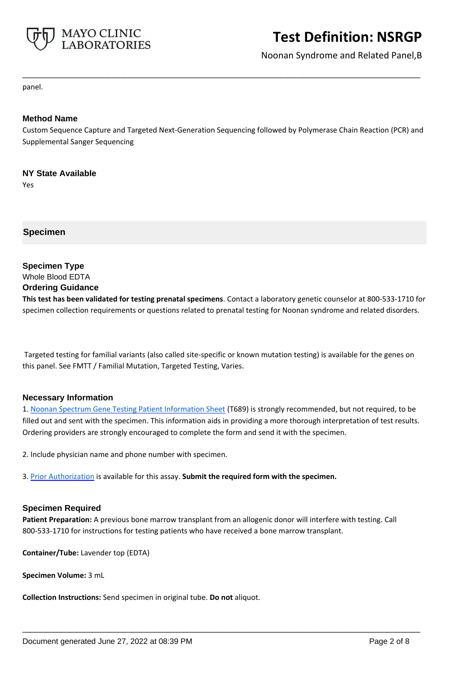

Noonan Syndrome and Related Panel,B

panel.

## **Method Name**

Custom Sequence Capture and Targeted Next-Generation Sequencing followed by Polymerase Chain Reaction (PCR) and Supplemental Sanger Sequencing

**\_\_\_\_\_\_\_\_\_\_\_\_\_\_\_\_\_\_\_\_\_\_\_\_\_\_\_\_\_\_\_\_\_\_\_\_\_\_\_\_\_\_\_\_\_\_\_\_\_\_\_**

## **NY State Available**

Yes

**Specimen**

**Specimen Type** Whole Blood EDTA **Ordering Guidance**

**This test has been validated for testing prenatal specimens**. Contact a laboratory genetic counselor at 800-533-1710 for specimen collection requirements or questions related to prenatal testing for Noonan syndrome and related disorders.

 Targeted testing for familial variants (also called site-specific or known mutation testing) is available for the genes on this panel. See FMTT / Familial Mutation, Targeted Testing, Varies.

## **Necessary Information**

1. [Noonan Spectrum Gene Testing Patient Information Sheet](http://www.mayocliniclabs.com/it-mmfiles/Noonan_Spectrum_Gene_Testing_Pt_Info_Sheetmc1235-172.pdf) (T689) is strongly recommended, but not required, to be filled out and sent with the specimen. This information aids in providing a more thorough interpretation of test results. Ordering providers are strongly encouraged to complete the form and send it with the specimen.

2. Include physician name and phone number with specimen.

3. [Prior Authorization](https://www.mayocliniclabs.com/it-mmfiles/Noonan_Syndrome_and_Related_Disorders_Multi-Gene_Panel_Prior_Authorization_Ordering_Instructions.pdf) is available for this assay. **Submit the required form with the specimen.**

## **Specimen Required**

**Patient Preparation:** A previous bone marrow transplant from an allogenic donor will interfere with testing. Call 800-533-1710 for instructions for testing patients who have received a bone marrow transplant.

**\_\_\_\_\_\_\_\_\_\_\_\_\_\_\_\_\_\_\_\_\_\_\_\_\_\_\_\_\_\_\_\_\_\_\_\_\_\_\_\_\_\_\_\_\_\_\_\_\_\_\_**

**Container/Tube:** Lavender top (EDTA)

**Specimen Volume:** 3 mL

**Collection Instructions:** Send specimen in original tube. **Do not** aliquot.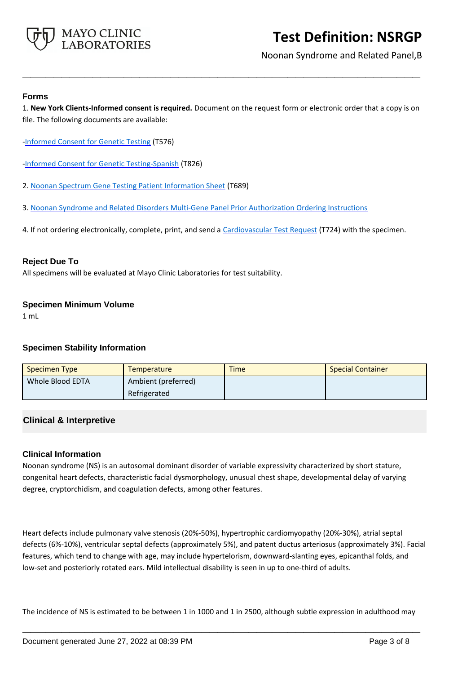

Noonan Syndrome and Related Panel,B

### **Forms**

1. **New York Clients-Informed consent is required.** Document on the request form or electronic order that a copy is on file. The following documents are available:

**\_\_\_\_\_\_\_\_\_\_\_\_\_\_\_\_\_\_\_\_\_\_\_\_\_\_\_\_\_\_\_\_\_\_\_\_\_\_\_\_\_\_\_\_\_\_\_\_\_\_\_**

- [-Informed Consent for Genetic Testing](https://www.mayocliniclabs.com/it-mmfiles/Informed_Consent_for_Genetic_Testing.pdf) (T576)
- [-Informed Consent for Genetic Testing-Spanish](https://www.mayocliniclabs.com/it-mmfiles/Informed_Consent_for_Genetic_Testing__Spanish_.pdf) (T826)
- 2. [Noonan Spectrum Gene Testing Patient Information Sheet](http://www.mayocliniclabs.com/it-mmfiles/Noonan_Spectrum_Gene_Testing_Pt_Info_Sheetmc1235-172.pdf) (T689)
- 3. [Noonan Syndrome and Related Disorders Multi-Gene Panel Prior Authorization Ordering Instructions](http://www.mayocliniclabs.com/it-mmfiles/Noonan_Syndrome_and_Related_Disorders_Multi-Gene_Panel_Prior_Authorization_Ordering_Instructions.pdf)
- 4. If not ordering electronically, complete, print, and send a [Cardiovascular Test Request](https://www.mayocliniclabs.com/it-mmfiles/cardiovascular-request-form.pdf) (T724) with the specimen.

### **Reject Due To**

All specimens will be evaluated at Mayo Clinic Laboratories for test suitability.

### **Specimen Minimum Volume**

1 mL

## **Specimen Stability Information**

| Specimen Type    | Temperature         | <b>Time</b> | <b>Special Container</b> |
|------------------|---------------------|-------------|--------------------------|
| Whole Blood EDTA | Ambient (preferred) |             |                          |
|                  | Refrigerated        |             |                          |

## **Clinical & Interpretive**

## **Clinical Information**

Noonan syndrome (NS) is an autosomal dominant disorder of variable expressivity characterized by short stature, congenital heart defects, characteristic facial dysmorphology, unusual chest shape, developmental delay of varying degree, cryptorchidism, and coagulation defects, among other features.

Heart defects include pulmonary valve stenosis (20%-50%), hypertrophic cardiomyopathy (20%-30%), atrial septal defects (6%-10%), ventricular septal defects (approximately 5%), and patent ductus arteriosus (approximately 3%). Facial features, which tend to change with age, may include hypertelorism, downward-slanting eyes, epicanthal folds, and low-set and posteriorly rotated ears. Mild intellectual disability is seen in up to one-third of adults.

The incidence of NS is estimated to be between 1 in 1000 and 1 in 2500, although subtle expression in adulthood may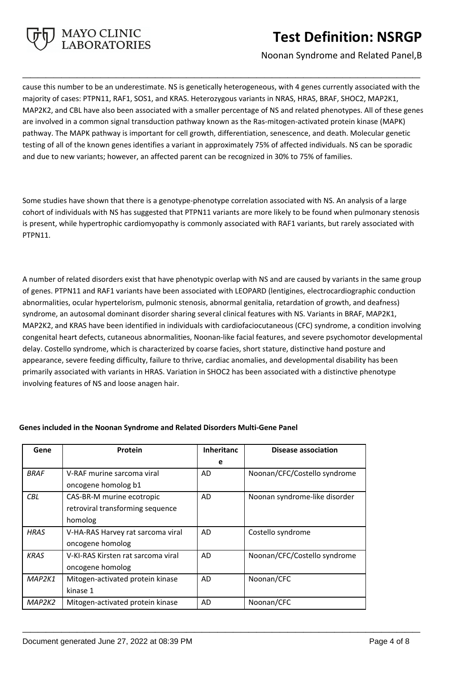

Noonan Syndrome and Related Panel,B

cause this number to be an underestimate. NS is genetically heterogeneous, with 4 genes currently associated with the majority of cases: PTPN11, RAF1, SOS1, and KRAS. Heterozygous variants in NRAS, HRAS, BRAF, SHOC2, MAP2K1, MAP2K2, and CBL have also been associated with a smaller percentage of NS and related phenotypes. All of these genes are involved in a common signal transduction pathway known as the Ras-mitogen-activated protein kinase (MAPK) pathway. The MAPK pathway is important for cell growth, differentiation, senescence, and death. Molecular genetic testing of all of the known genes identifies a variant in approximately 75% of affected individuals. NS can be sporadic and due to new variants; however, an affected parent can be recognized in 30% to 75% of families.

**\_\_\_\_\_\_\_\_\_\_\_\_\_\_\_\_\_\_\_\_\_\_\_\_\_\_\_\_\_\_\_\_\_\_\_\_\_\_\_\_\_\_\_\_\_\_\_\_\_\_\_**

Some studies have shown that there is a genotype-phenotype correlation associated with NS. An analysis of a large cohort of individuals with NS has suggested that PTPN11 variants are more likely to be found when pulmonary stenosis is present, while hypertrophic cardiomyopathy is commonly associated with RAF1 variants, but rarely associated with PTPN11.

A number of related disorders exist that have phenotypic overlap with NS and are caused by variants in the same group of genes. PTPN11 and RAF1 variants have been associated with LEOPARD (lentigines, electrocardiographic conduction abnormalities, ocular hypertelorism, pulmonic stenosis, abnormal genitalia, retardation of growth, and deafness) syndrome, an autosomal dominant disorder sharing several clinical features with NS. Variants in BRAF, MAP2K1, MAP2K2, and KRAS have been identified in individuals with cardiofaciocutaneous (CFC) syndrome, a condition involving congenital heart defects, cutaneous abnormalities, Noonan-like facial features, and severe psychomotor developmental delay. Costello syndrome, which is characterized by coarse facies, short stature, distinctive hand posture and appearance, severe feeding difficulty, failure to thrive, cardiac anomalies, and developmental disability has been primarily associated with variants in HRAS. Variation in SHOC2 has been associated with a distinctive phenotype involving features of NS and loose anagen hair.

| Gene        | Protein                            | <b>Inheritanc</b> | Disease association           |
|-------------|------------------------------------|-------------------|-------------------------------|
|             |                                    | e                 |                               |
| <b>BRAF</b> | V-RAF murine sarcoma viral         | <b>AD</b>         | Noonan/CFC/Costello syndrome  |
|             | oncogene homolog b1                |                   |                               |
| <b>CBL</b>  | CAS-BR-M murine ecotropic          | AD                | Noonan syndrome-like disorder |
|             | retroviral transforming sequence   |                   |                               |
|             | homolog                            |                   |                               |
| <b>HRAS</b> | V-HA-RAS Harvey rat sarcoma viral  | AD                | Costello syndrome             |
|             | oncogene homolog                   |                   |                               |
| <b>KRAS</b> | V-KI-RAS Kirsten rat sarcoma viral | <b>AD</b>         | Noonan/CFC/Costello syndrome  |
|             | oncogene homolog                   |                   |                               |
| MAP2K1      | Mitogen-activated protein kinase   | AD                | Noonan/CFC                    |
|             | kinase 1                           |                   |                               |
| MAP2K2      | Mitogen-activated protein kinase   | AD                | Noonan/CFC                    |

**\_\_\_\_\_\_\_\_\_\_\_\_\_\_\_\_\_\_\_\_\_\_\_\_\_\_\_\_\_\_\_\_\_\_\_\_\_\_\_\_\_\_\_\_\_\_\_\_\_\_\_**

## **Genes included in the Noonan Syndrome and Related Disorders Multi-Gene Panel**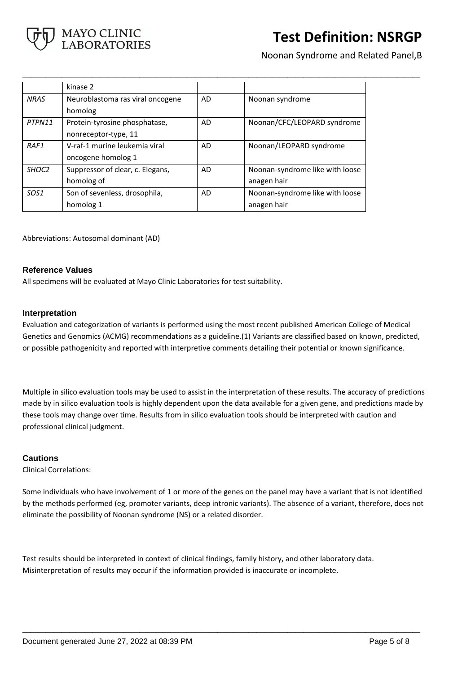

Noonan Syndrome and Related Panel,B

|                   | kinase 2                         |           |                                 |
|-------------------|----------------------------------|-----------|---------------------------------|
| <b>NRAS</b>       | Neuroblastoma ras viral oncogene | AD        | Noonan syndrome                 |
|                   | homolog                          |           |                                 |
| PTPN11            | Protein-tyrosine phosphatase,    | AD        | Noonan/CFC/LEOPARD syndrome     |
|                   | nonreceptor-type, 11             |           |                                 |
| RAF1              | V-raf-1 murine leukemia viral    | AD        | Noonan/LEOPARD syndrome         |
|                   | oncogene homolog 1               |           |                                 |
| SHOC <sub>2</sub> | Suppressor of clear, c. Elegans, | <b>AD</b> | Noonan-syndrome like with loose |
|                   | homolog of                       |           | anagen hair                     |
| SOS <sub>1</sub>  | Son of sevenless, drosophila,    | AD        | Noonan-syndrome like with loose |
|                   | homolog 1                        |           | anagen hair                     |

**\_\_\_\_\_\_\_\_\_\_\_\_\_\_\_\_\_\_\_\_\_\_\_\_\_\_\_\_\_\_\_\_\_\_\_\_\_\_\_\_\_\_\_\_\_\_\_\_\_\_\_**

Abbreviations: Autosomal dominant (AD)

## **Reference Values**

All specimens will be evaluated at Mayo Clinic Laboratories for test suitability.

### **Interpretation**

Evaluation and categorization of variants is performed using the most recent published American College of Medical Genetics and Genomics (ACMG) recommendations as a guideline.(1) Variants are classified based on known, predicted, or possible pathogenicity and reported with interpretive comments detailing their potential or known significance.

Multiple in silico evaluation tools may be used to assist in the interpretation of these results. The accuracy of predictions made by in silico evaluation tools is highly dependent upon the data available for a given gene, and predictions made by these tools may change over time. Results from in silico evaluation tools should be interpreted with caution and professional clinical judgment.

## **Cautions**

Clinical Correlations:

Some individuals who have involvement of 1 or more of the genes on the panel may have a variant that is not identified by the methods performed (eg, promoter variants, deep intronic variants). The absence of a variant, therefore, does not eliminate the possibility of Noonan syndrome (NS) or a related disorder.

**\_\_\_\_\_\_\_\_\_\_\_\_\_\_\_\_\_\_\_\_\_\_\_\_\_\_\_\_\_\_\_\_\_\_\_\_\_\_\_\_\_\_\_\_\_\_\_\_\_\_\_**

Test results should be interpreted in context of clinical findings, family history, and other laboratory data. Misinterpretation of results may occur if the information provided is inaccurate or incomplete.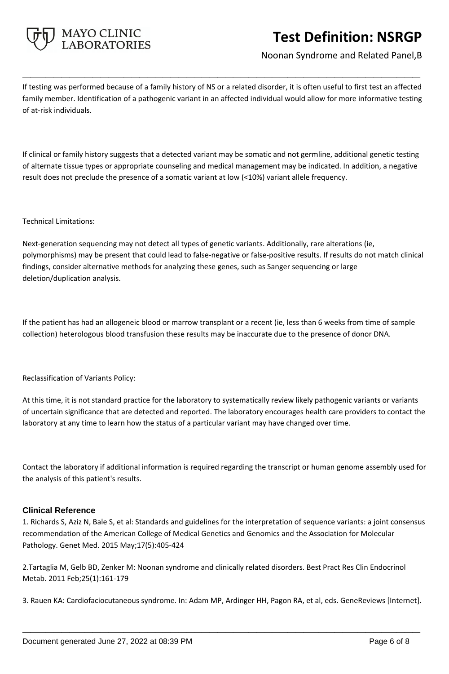

Noonan Syndrome and Related Panel,B

If testing was performed because of a family history of NS or a related disorder, it is often useful to first test an affected family member. Identification of a pathogenic variant in an affected individual would allow for more informative testing of at-risk individuals.

**\_\_\_\_\_\_\_\_\_\_\_\_\_\_\_\_\_\_\_\_\_\_\_\_\_\_\_\_\_\_\_\_\_\_\_\_\_\_\_\_\_\_\_\_\_\_\_\_\_\_\_**

If clinical or family history suggests that a detected variant may be somatic and not germline, additional genetic testing of alternate tissue types or appropriate counseling and medical management may be indicated. In addition, a negative result does not preclude the presence of a somatic variant at low (<10%) variant allele frequency.

### Technical Limitations:

Next-generation sequencing may not detect all types of genetic variants. Additionally, rare alterations (ie, polymorphisms) may be present that could lead to false-negative or false-positive results. If results do not match clinical findings, consider alternative methods for analyzing these genes, such as Sanger sequencing or large deletion/duplication analysis.

If the patient has had an allogeneic blood or marrow transplant or a recent (ie, less than 6 weeks from time of sample collection) heterologous blood transfusion these results may be inaccurate due to the presence of donor DNA.

Reclassification of Variants Policy:

At this time, it is not standard practice for the laboratory to systematically review likely pathogenic variants or variants of uncertain significance that are detected and reported. The laboratory encourages health care providers to contact the laboratory at any time to learn how the status of a particular variant may have changed over time.

Contact the laboratory if additional information is required regarding the transcript or human genome assembly used for the analysis of this patient's results.

## **Clinical Reference**

1. Richards S, Aziz N, Bale S, et al: Standards and guidelines for the interpretation of sequence variants: a joint consensus recommendation of the American College of Medical Genetics and Genomics and the Association for Molecular Pathology. Genet Med. 2015 May;17(5):405-424

2.Tartaglia M, Gelb BD, Zenker M: Noonan syndrome and clinically related disorders. Best Pract Res Clin Endocrinol Metab. 2011 Feb;25(1):161-179

3. Rauen KA: Cardiofaciocutaneous syndrome. In: Adam MP, Ardinger HH, Pagon RA, et al, eds. GeneReviews [Internet].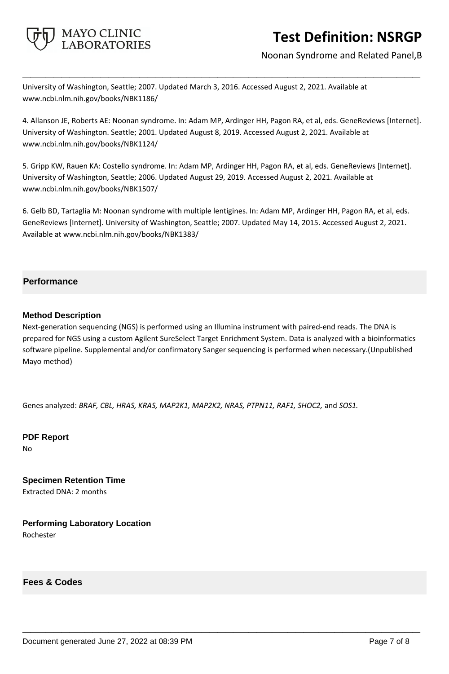

Noonan Syndrome and Related Panel,B

University of Washington, Seattle; 2007. Updated March 3, 2016. Accessed August 2, 2021. Available at www.ncbi.nlm.nih.gov/books/NBK1186/

4. Allanson JE, Roberts AE: Noonan syndrome. In: Adam MP, Ardinger HH, Pagon RA, et al, eds. GeneReviews [Internet]. University of Washington. Seattle; 2001. Updated August 8, 2019. Accessed August 2, 2021. Available at www.ncbi.nlm.nih.gov/books/NBK1124/

**\_\_\_\_\_\_\_\_\_\_\_\_\_\_\_\_\_\_\_\_\_\_\_\_\_\_\_\_\_\_\_\_\_\_\_\_\_\_\_\_\_\_\_\_\_\_\_\_\_\_\_**

5. Gripp KW, Rauen KA: Costello syndrome. In: Adam MP, Ardinger HH, Pagon RA, et al, eds. GeneReviews [Internet]. University of Washington, Seattle; 2006. Updated August 29, 2019. Accessed August 2, 2021. Available at www.ncbi.nlm.nih.gov/books/NBK1507/

6. Gelb BD, Tartaglia M: Noonan syndrome with multiple lentigines. In: Adam MP, Ardinger HH, Pagon RA, et al, eds. GeneReviews [Internet]. University of Washington, Seattle; 2007. Updated May 14, 2015. Accessed August 2, 2021. Available at www.ncbi.nlm.nih.gov/books/NBK1383/

## **Performance**

## **Method Description**

Next-generation sequencing (NGS) is performed using an Illumina instrument with paired-end reads. The DNA is prepared for NGS using a custom Agilent SureSelect Target Enrichment System. Data is analyzed with a bioinformatics software pipeline. Supplemental and/or confirmatory Sanger sequencing is performed when necessary.(Unpublished Mayo method)

**\_\_\_\_\_\_\_\_\_\_\_\_\_\_\_\_\_\_\_\_\_\_\_\_\_\_\_\_\_\_\_\_\_\_\_\_\_\_\_\_\_\_\_\_\_\_\_\_\_\_\_**

Genes analyzed: *BRAF, CBL, HRAS, KRAS, MAP2K1, MAP2K2, NRAS, PTPN11, RAF1, SHOC2,* and *SOS1.*

**PDF Report** No

**Specimen Retention Time** Extracted DNA: 2 months

**Performing Laboratory Location** Rochester

**Fees & Codes**